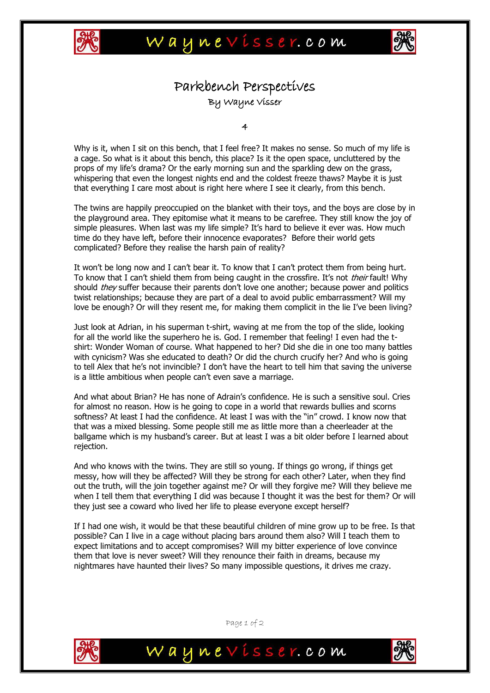



## Parkbench Perspectives By Wayne Visser

4

Why is it, when I sit on this bench, that I feel free? It makes no sense. So much of my life is a cage. So what is it about this bench, this place? Is it the open space, uncluttered by the props of my life's drama? Or the early morning sun and the sparkling dew on the grass, whispering that even the longest nights end and the coldest freeze thaws? Maybe it is just that everything I care most about is right here where I see it clearly, from this bench.

The twins are happily preoccupied on the blanket with their toys, and the boys are close by in the playground area. They epitomise what it means to be carefree. They still know the joy of simple pleasures. When last was my life simple? It's hard to believe it ever was. How much time do they have left, before their innocence evaporates? Before their world gets complicated? Before they realise the harsh pain of reality?

It won't be long now and I can't bear it. To know that I can't protect them from being hurt. To know that I can't shield them from being caught in the crossfire. It's not their fault! Why should *they* suffer because their parents don't love one another; because power and politics twist relationships; because they are part of a deal to avoid public embarrassment? Will my love be enough? Or will they resent me, for making them complicit in the lie I've been living?

Just look at Adrian, in his superman t-shirt, waving at me from the top of the slide, looking for all the world like the superhero he is. God. I remember that feeling! I even had the tshirt: Wonder Woman of course. What happened to her? Did she die in one too many battles with cynicism? Was she educated to death? Or did the church crucify her? And who is going to tell Alex that he's not invincible? I don't have the heart to tell him that saving the universe is a little ambitious when people can't even save a marriage.

And what about Brian? He has none of Adrain's confidence. He is such a sensitive soul. Cries for almost no reason. How is he going to cope in a world that rewards bullies and scorns softness? At least I had the confidence. At least I was with the "in" crowd. I know now that that was a mixed blessing. Some people still me as little more than a cheerleader at the ballgame which is my husband's career. But at least I was a bit older before I learned about rejection.

And who knows with the twins. They are still so young. If things go wrong, if things get messy, how will they be affected? Will they be strong for each other? Later, when they find out the truth, will the join together against me? Or will they forgive me? Will they believe me when I tell them that everything I did was because I thought it was the best for them? Or will they just see a coward who lived her life to please everyone except herself?

If I had one wish, it would be that these beautiful children of mine grow up to be free. Is that possible? Can I live in a cage without placing bars around them also? Will I teach them to expect limitations and to accept compromises? Will my bitter experience of love convince them that love is never sweet? Will they renounce their faith in dreams, because my nightmares have haunted their lives? So many impossible questions, it drives me crazy.



Page 1 of 2